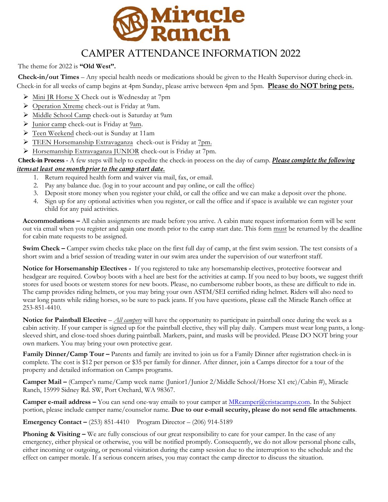

## CAMPER ATTENDANCE INFORMATION 2022

The theme for 2022 is **"Old West".**

**Check-in/out Times** – Any special health needs or medications should be given to the Health Supervisor during check-in. Check-in for all weeks of camp begins at 4pm Sunday, please arrive between 4pm and 5pm. **Please do NOT bring pets.**

- Mini JR Horse X Check out is Wednesday at 7pm
- Operation Xtreme check-out is Friday at 9am.
- Middle School Camp check-out is Saturday at 9am
- Junior camp check-out is Friday at 9am.
- Teen Weekend check-out is Sunday at 11am
- TEEN Horsemanship Extravaganza check-out is Friday at 7pm.
- Horsemanship Extravaganza JUNIOR check-out is Friday at 7pm.

**Check-in Process** - A few steps will help to expedite the check-in process on the day of camp. *Please complete the following items at least one month prior to the camp start date.* 

- 1. Return required health form and waiver via mail, fax, or email.
- 2. Pay any balance due. (log in to your account and pay online, or call the office)
- 3. Deposit store money when you register your child, or call the office and we can make a deposit over the phone.
- 4. Sign up for any optional activities when you register, or call the office and if space is available we can register your child for any paid activities.

**Accommodations –** All cabin assignments are made before you arrive. A cabin mate request information form will be sent out via email when you register and again one month prior to the camp start date. This form must be returned by the deadline for cabin mate requests to be assigned.

**Swim Check – Camper swim checks take place on the first full day of camp, at the first swim session. The test consists of a** short swim and a brief session of treading water in our swim area under the supervision of our waterfront staff.

**Notice for Horsemanship Electives -** If you registered to take any horsemanship electives, protective footwear and headgear are required. Cowboy boots with a heel are best for the activities at camp. If you need to buy boots, we suggest thrift stores for used boots or western stores for new boots. Please, no cumbersome rubber boots, as these are difficult to ride in. The camp provides riding helmets, or you may bring your own ASTM/SEI certified riding helmet. Riders will also need to wear long pants while riding horses, so be sure to pack jeans. If you have questions, please call the Miracle Ranch office at 253-851-4410.

**Notice for Paintball Elective** – *All campers* will have the opportunity to participate in paintball once during the week as a cabin activity. If your camper is signed up for the paintball elective, they will play daily. Campers must wear long pants, a longsleeved shirt, and close-toed shoes during paintball. Markers, paint, and masks will be provided. Please DO NOT bring your own markers. You may bring your own protective gear.

**Family Dinner/Camp Tour – Parents and family are invited to join us for a Family Dinner after registration check-in is** complete. The cost is \$12 per person or \$35 per family for dinner. After dinner, join a Camps director for a tour of the property and detailed information on Camps programs.

**Camper Mail –** (Camper's name/Camp week name (Junior1/Junior 2/Middle School/Horse X1 etc)/Cabin #), Miracle Ranch, 15999 Sidney Rd. SW, Port Orchard, WA 98367.

**Camper e-mail address –** You can send one-way emails to your camper at [MRcamper@cristacamps.com.](mailto:MRcamper@cristacamps.com) In the Subject portion, please include camper name/counselor name. **Due to our e-mail security, please do not send file attachments**.

**Emergency Contact –** (253) 851-4410 Program Director – (206) 914-5189

**Phoning & Visiting –** We are fully conscious of our great responsibility to care for your camper. In the case of any emergency, either physical or otherwise, you will be notified promptly. Consequently, we do not allow personal phone calls, either incoming or outgoing, or personal visitation during the camp session due to the interruption to the schedule and the effect on camper morale. If a serious concern arises, you may contact the camp director to discuss the situation.